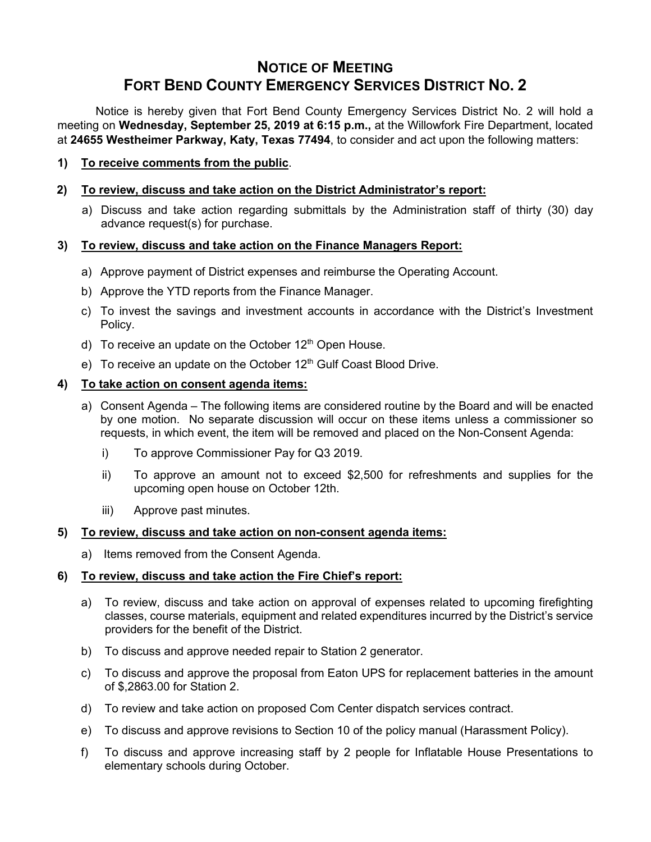# **NOTICE OF MEETING FORT BEND COUNTY EMERGENCY SERVICES DISTRICT NO. 2**

Notice is hereby given that Fort Bend County Emergency Services District No. 2 will hold a meeting on **Wednesday, September 25, 2019 at 6:15 p.m.,** at the Willowfork Fire Department, located at **24655 Westheimer Parkway, Katy, Texas 77494**, to consider and act upon the following matters:

**1) To receive comments from the public**.

## **2) To review, discuss and take action on the District Administrator's report:**

a) Discuss and take action regarding submittals by the Administration staff of thirty (30) day advance request(s) for purchase.

### **3) To review, discuss and take action on the Finance Managers Report:**

- a) Approve payment of District expenses and reimburse the Operating Account.
- b) Approve the YTD reports from the Finance Manager.
- c) To invest the savings and investment accounts in accordance with the District's Investment Policy.
- d) To receive an update on the October  $12<sup>th</sup>$  Open House.
- e) To receive an update on the October 12<sup>th</sup> Gulf Coast Blood Drive.

#### **4) To take action on consent agenda items:**

- a) Consent Agenda The following items are considered routine by the Board and will be enacted by one motion. No separate discussion will occur on these items unless a commissioner so requests, in which event, the item will be removed and placed on the Non-Consent Agenda:
	- i) To approve Commissioner Pay for Q3 2019.
	- ii) To approve an amount not to exceed \$2,500 for refreshments and supplies for the upcoming open house on October 12th.
	- iii) Approve past minutes.

#### **5) To review, discuss and take action on non-consent agenda items:**

a) Items removed from the Consent Agenda.

#### **6) To review, discuss and take action the Fire Chief's report:**

- a) To review, discuss and take action on approval of expenses related to upcoming firefighting classes, course materials, equipment and related expenditures incurred by the District's service providers for the benefit of the District.
- b) To discuss and approve needed repair to Station 2 generator.
- c) To discuss and approve the proposal from Eaton UPS for replacement batteries in the amount of \$,2863.00 for Station 2.
- d) To review and take action on proposed Com Center dispatch services contract.
- e) To discuss and approve revisions to Section 10 of the policy manual (Harassment Policy).
- f) To discuss and approve increasing staff by 2 people for Inflatable House Presentations to elementary schools during October.